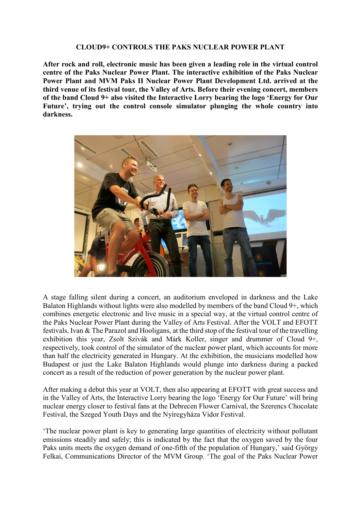## **CLOUD9+ CONTROLS THE PAKS NUCLEAR POWER PLANT**

**After rock and roll, electronic music has been given a leading role in the virtual control centre of the Paks Nuclear Power Plant. The interactive exhibition of the Paks Nuclear Power Plant and MVM Paks II Nuclear Power Plant Development Ltd. arrived at the third venue of its festival tour, the Valley of Arts. Before their evening concert, members of the band Cloud 9+ also visited the Interactive Lorry bearing the logo 'Energy for Our Future', trying out the control console simulator plunging the whole country into darkness.**



A stage falling silent during a concert, an auditorium enveloped in darkness and the Lake Balaton Highlands without lights were also modelled by members of the band Cloud 9+, which combines energetic electronic and live music in a special way, at the virtual control centre of the Paks Nuclear Power Plant during the Valley of Arts Festival. After the VOLT and EFOTT festivals, Ivan & The Parazol and Hooligans, at the third stop of the festival tour of the travelling exhibition this year, Zsolt Szivák and Márk Koller, singer and drummer of Cloud 9+, respectively, took control of the simulator of the nuclear power plant, which accounts for more than half the electricity generated in Hungary. At the exhibition, the musicians modelled how Budapest or just the Lake Balaton Highlands would plunge into darkness during a packed concert as a result of the reduction of power generation by the nuclear power plant.

After making a debut this year at VOLT, then also appearing at EFOTT with great success and in the Valley of Arts, the Interactive Lorry bearing the logo 'Energy for Our Future' will bring nuclear energy closer to festival fans at the Debrecen Flower Carnival, the Szerencs Chocolate Festival, the Szeged Youth Days and the Nyíregyháza Vidor Festival.

'The nuclear power plant is key to generating large quantities of electricity without pollutant emissions steadily and safely; this is indicated by the fact that the oxygen saved by the four Paks units meets the oxygen demand of one-fifth of the population of Hungary,' said György Felkai, Communications Director of the MVM Group. 'The goal of the Paks Nuclear Power